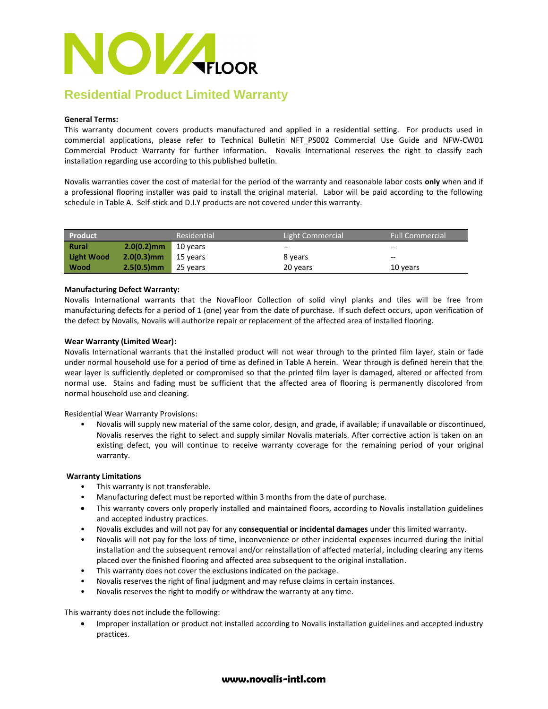

## **Residential Product Limited Warranty**

#### **General Terms:**

This warranty document covers products manufactured and applied in a residential setting. For products used in commercial applications, please refer to Technical Bulletin NFT\_PS002 Commercial Use Guide and NFW-CW01 Commercial Product Warranty for further information. Novalis International reserves the right to classify each installation regarding use according to this published bulletin.

Novalis warranties cover the cost of material for the period of the warranty and reasonable labor costs **only** when and if a professional flooring installer was paid to install the original material. Labor will be paid according to the following schedule in Table A. Self-stick and D.I.Y products are not covered under this warranty.

| Product           |               | Residential | Light Commercial | <b>Full Commercial</b> |
|-------------------|---------------|-------------|------------------|------------------------|
| <b>Rural</b>      | $2.0(0.2)$ mm | 10 years    | --               | $- -$                  |
| <b>Light Wood</b> | $2.0(0.3)$ mm | 15 years    | 8 years          | $- -$                  |
| Wood              | $2.5(0.5)$ mm | 25 years    | 20 years         | 10 years               |

#### **Manufacturing Defect Warranty:**

Novalis International warrants that the NovaFloor Collection of solid vinyl planks and tiles will be free from manufacturing defects for a period of 1 (one) year from the date of purchase. If such defect occurs, upon verification of the defect by Novalis, Novalis will authorize repair or replacement of the affected area of installed flooring.

#### **Wear Warranty (Limited Wear):**

Novalis International warrants that the installed product will not wear through to the printed film layer, stain or fade under normal household use for a period of time as defined in Table A herein. Wear through is defined herein that the wear layer is sufficiently depleted or compromised so that the printed film layer is damaged, altered or affected from normal use. Stains and fading must be sufficient that the affected area of flooring is permanently discolored from normal household use and cleaning.

Residential Wear Warranty Provisions:

• Novalis will supply new material of the same color, design, and grade, if available; if unavailable or discontinued, Novalis reserves the right to select and supply similar Novalis materials. After corrective action is taken on an existing defect, you will continue to receive warranty coverage for the remaining period of your original warranty.

#### **Warranty Limitations**

- This warranty is not transferable.
- Manufacturing defect must be reported within 3 months from the date of purchase.
- This warranty covers only properly installed and maintained floors, according to Novalis installation guidelines and accepted industry practices.
- Novalis excludes and will not pay for any **consequential or incidental damages** under this limited warranty.
- Novalis will not pay for the loss of time, inconvenience or other incidental expenses incurred during the initial installation and the subsequent removal and/or reinstallation of affected material, including clearing any items placed over the finished flooring and affected area subsequent to the original installation.
- This warranty does not cover the exclusions indicated on the package.
- Novalis reserves the right of final judgment and may refuse claims in certain instances.
- Novalis reserves the right to modify or withdraw the warranty at any time.

This warranty does not include the following:

 Improper installation or product not installed according to Novalis installation guidelines and accepted industry practices.

### **www.novalis-intl.com**